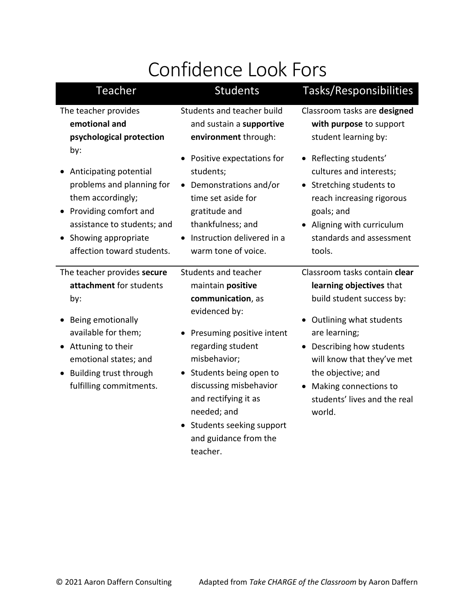# Confidence Look Fors

| Teacher                                                                                                                                                                                                                   | <b>Students</b>                                                                                                                                                                                                                                                                                                   | Tasks/Responsibilities                                                                                                                                                                                                                                                                 |
|---------------------------------------------------------------------------------------------------------------------------------------------------------------------------------------------------------------------------|-------------------------------------------------------------------------------------------------------------------------------------------------------------------------------------------------------------------------------------------------------------------------------------------------------------------|----------------------------------------------------------------------------------------------------------------------------------------------------------------------------------------------------------------------------------------------------------------------------------------|
| The teacher provides<br>emotional and<br>psychological protection                                                                                                                                                         | Students and teacher build<br>and sustain a supportive<br>environment through:                                                                                                                                                                                                                                    | Classroom tasks are designed<br>with purpose to support<br>student learning by:                                                                                                                                                                                                        |
| by:<br>Anticipating potential<br>problems and planning for<br>them accordingly;<br>Providing comfort and<br>assistance to students; and<br>Showing appropriate<br>affection toward students.                              | Positive expectations for<br>students;<br>• Demonstrations and/or<br>time set aside for<br>gratitude and<br>thankfulness; and<br>Instruction delivered in a<br>warm tone of voice.                                                                                                                                | • Reflecting students'<br>cultures and interests;<br>Stretching students to<br>$\bullet$<br>reach increasing rigorous<br>goals; and<br>Aligning with curriculum<br>standards and assessment<br>tools.                                                                                  |
| The teacher provides secure<br>attachment for students<br>by:<br>Being emotionally<br>available for them;<br>Attuning to their<br>emotional states; and<br>Building trust through<br>$\bullet$<br>fulfilling commitments. | Students and teacher<br>maintain positive<br>communication, as<br>evidenced by:<br>Presuming positive intent<br>regarding student<br>misbehavior;<br>• Students being open to<br>discussing misbehavior<br>and rectifying it as<br>needed; and<br>• Students seeking support<br>and guidance from the<br>teacher. | Classroom tasks contain clear<br>learning objectives that<br>build student success by:<br>Outlining what students<br>are learning;<br>• Describing how students<br>will know that they've met<br>the objective; and<br>Making connections to<br>students' lives and the real<br>world. |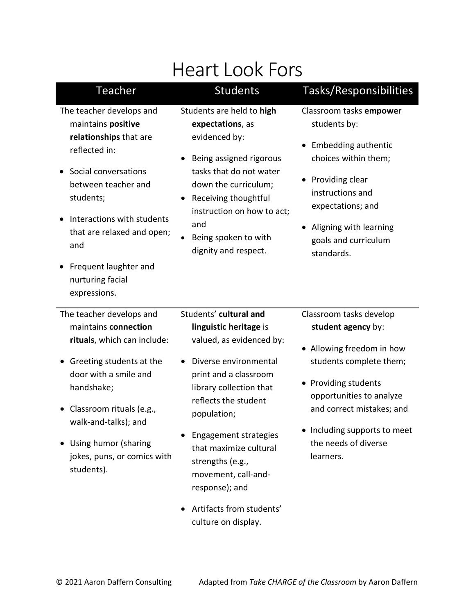| <b>Heart Look Fors</b>                                                                                                                                                                                                                                                                   |                                                                                                                                                                                                                                                                                                                         |                                                                                                                                                                                                                                                             |
|------------------------------------------------------------------------------------------------------------------------------------------------------------------------------------------------------------------------------------------------------------------------------------------|-------------------------------------------------------------------------------------------------------------------------------------------------------------------------------------------------------------------------------------------------------------------------------------------------------------------------|-------------------------------------------------------------------------------------------------------------------------------------------------------------------------------------------------------------------------------------------------------------|
| <b>Teacher</b>                                                                                                                                                                                                                                                                           | <b>Students</b>                                                                                                                                                                                                                                                                                                         | Tasks/Responsibilities                                                                                                                                                                                                                                      |
| The teacher develops and<br>maintains positive<br>relationships that are<br>reflected in:<br>Social conversations<br>between teacher and<br>students;<br>Interactions with students<br>that are relaxed and open;<br>and<br>Frequent laughter and<br>nurturing facial<br>expressions.    | Students are held to high<br>expectations, as<br>evidenced by:<br>Being assigned rigorous<br>tasks that do not water<br>down the curriculum;<br>Receiving thoughtful<br>instruction on how to act;<br>and<br>Being spoken to with<br>dignity and respect.                                                               | Classroom tasks empower<br>students by:<br><b>Embedding authentic</b><br>choices within them;<br>• Providing clear<br>instructions and<br>expectations; and<br>Aligning with learning<br>goals and curriculum<br>standards.                                 |
| The teacher develops and<br>maintains connection<br>rituals, which can include:<br>Greeting students at the<br>$\bullet$<br>door with a smile and<br>handshake;<br>Classroom rituals (e.g.,<br>walk-and-talks); and<br>Using humor (sharing<br>jokes, puns, or comics with<br>students). | Students' cultural and<br>linguistic heritage is<br>valued, as evidenced by:<br>Diverse environmental<br>print and a classroom<br>library collection that<br>reflects the student<br>population;<br><b>Engagement strategies</b><br>that maximize cultural<br>strengths (e.g.,<br>movement, call-and-<br>response); and | Classroom tasks develop<br>student agency by:<br>• Allowing freedom in how<br>students complete them;<br>• Providing students<br>opportunities to analyze<br>and correct mistakes; and<br>• Including supports to meet<br>the needs of diverse<br>learners. |
|                                                                                                                                                                                                                                                                                          | Artifacts from students'<br>culture on display.                                                                                                                                                                                                                                                                         |                                                                                                                                                                                                                                                             |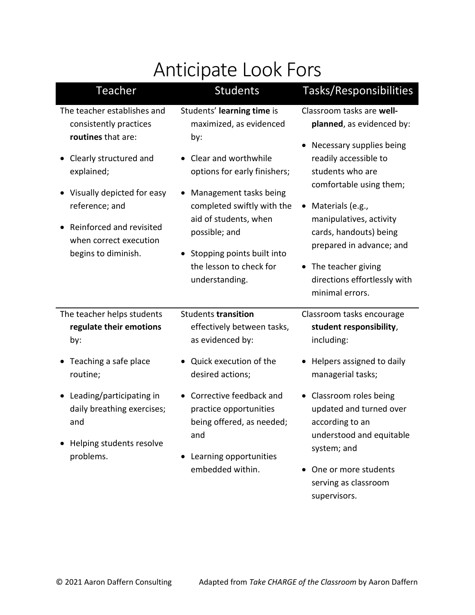# Anticipate Look Fors

| Teacher                                                                                     | <b>Students</b>                                                                                                                                 | Tasks/Responsibilities                                                                                                                                                                  |
|---------------------------------------------------------------------------------------------|-------------------------------------------------------------------------------------------------------------------------------------------------|-----------------------------------------------------------------------------------------------------------------------------------------------------------------------------------------|
| The teacher establishes and<br>consistently practices<br>routines that are:                 | Students' learning time is<br>maximized, as evidenced<br>by:                                                                                    | Classroom tasks are well-<br>planned, as evidenced by:                                                                                                                                  |
| Clearly structured and<br>explained;<br>Visually depicted for easy                          | Clear and worthwhile<br>options for early finishers;<br>Management tasks being                                                                  | Necessary supplies being<br>readily accessible to<br>students who are<br>comfortable using them;                                                                                        |
| reference; and<br>Reinforced and revisited<br>when correct execution<br>begins to diminish. | completed swiftly with the<br>aid of students, when<br>possible; and<br>Stopping points built into<br>the lesson to check for<br>understanding. | Materials (e.g.,<br>$\bullet$<br>manipulatives, activity<br>cards, handouts) being<br>prepared in advance; and<br>The teacher giving<br>directions effortlessly with<br>minimal errors. |
| The teacher helps students<br>regulate their emotions<br>by:                                | <b>Students transition</b><br>effectively between tasks,<br>as evidenced by:                                                                    | Classroom tasks encourage<br>student responsibility,<br>including:                                                                                                                      |
| Teaching a safe place<br>routine;                                                           | Quick execution of the<br>desired actions;                                                                                                      | Helpers assigned to daily<br>managerial tasks;                                                                                                                                          |
| Leading/participating in<br>daily breathing exercises;<br>and<br>Helping students resolve   | Corrective feedback and<br>practice opportunities<br>being offered, as needed;<br>and                                                           | • Classroom roles being<br>updated and turned over<br>according to an<br>understood and equitable                                                                                       |
| problems.                                                                                   | Learning opportunities<br>embedded within.                                                                                                      | system; and<br>One or more students<br>serving as classroom                                                                                                                             |

supervisors.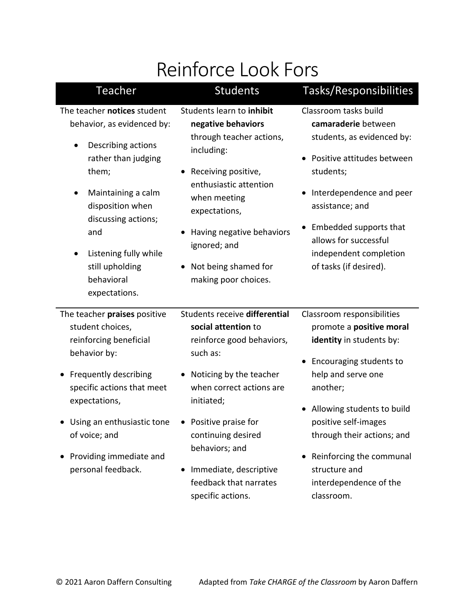# Reinforce Look Fors

| Teacher                                                                                                                                                                                                                                                                     | <b>Students</b>                                                                                                                                                                                                                                                                                              | Tasks/Responsibilities                                                                                                                                                                                                                                                                                                     |
|-----------------------------------------------------------------------------------------------------------------------------------------------------------------------------------------------------------------------------------------------------------------------------|--------------------------------------------------------------------------------------------------------------------------------------------------------------------------------------------------------------------------------------------------------------------------------------------------------------|----------------------------------------------------------------------------------------------------------------------------------------------------------------------------------------------------------------------------------------------------------------------------------------------------------------------------|
| The teacher notices student<br>behavior, as evidenced by:<br>Describing actions<br>rather than judging<br>them;<br>Maintaining a calm<br>disposition when<br>discussing actions;<br>and<br>Listening fully while<br>still upholding<br>behavioral<br>expectations.          | Students learn to inhibit<br>negative behaviors<br>through teacher actions,<br>including:<br>Receiving positive,<br>enthusiastic attention<br>when meeting<br>expectations,<br>Having negative behaviors<br>ignored; and<br>Not being shamed for<br>making poor choices.                                     | Classroom tasks build<br>camaraderie between<br>students, as evidenced by:<br>• Positive attitudes between<br>students;<br>Interdependence and peer<br>assistance; and<br>Embedded supports that<br>allows for successful<br>independent completion<br>of tasks (if desired).                                              |
| The teacher praises positive<br>student choices,<br>reinforcing beneficial<br>behavior by:<br><b>Frequently describing</b><br>specific actions that meet<br>expectations,<br>• Using an enthusiastic tone<br>of voice; and<br>Providing immediate and<br>personal feedback. | Students receive differential<br>social attention to<br>reinforce good behaviors,<br>such as:<br>Noticing by the teacher<br>when correct actions are<br>initiated;<br>• Positive praise for<br>continuing desired<br>behaviors; and<br>Immediate, descriptive<br>feedback that narrates<br>specific actions. | Classroom responsibilities<br>promote a positive moral<br>identity in students by:<br>• Encouraging students to<br>help and serve one<br>another;<br>Allowing students to build<br>positive self-images<br>through their actions; and<br>Reinforcing the communal<br>structure and<br>interdependence of the<br>classroom. |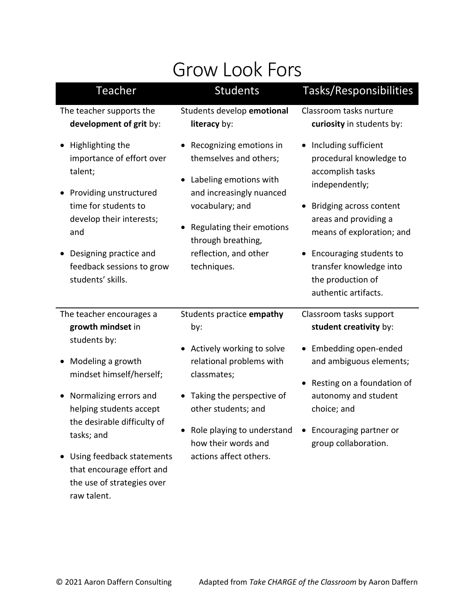#### Grow Look Fors

| <b>Teacher</b>                                                                                                                                                                                                            | <b>Students</b>                                                                                                                                                                                                       | Tasks/Responsibilities                                                                                                                                                                                                                                                                 |
|---------------------------------------------------------------------------------------------------------------------------------------------------------------------------------------------------------------------------|-----------------------------------------------------------------------------------------------------------------------------------------------------------------------------------------------------------------------|----------------------------------------------------------------------------------------------------------------------------------------------------------------------------------------------------------------------------------------------------------------------------------------|
| The teacher supports the<br>development of grit by:                                                                                                                                                                       | Students develop emotional<br>literacy by:                                                                                                                                                                            | Classroom tasks nurture<br>curiosity in students by:                                                                                                                                                                                                                                   |
| Highlighting the<br>importance of effort over<br>talent;<br>Providing unstructured<br>time for students to<br>develop their interests;<br>and<br>Designing practice and<br>feedback sessions to grow<br>students' skills. | Recognizing emotions in<br>themselves and others;<br>Labeling emotions with<br>and increasingly nuanced<br>vocabulary; and<br>Regulating their emotions<br>through breathing,<br>reflection, and other<br>techniques. | Including sufficient<br>$\bullet$<br>procedural knowledge to<br>accomplish tasks<br>independently;<br>Bridging across content<br>areas and providing a<br>means of exploration; and<br>Encouraging students to<br>transfer knowledge into<br>the production of<br>authentic artifacts. |
| The teacher encourages a<br>growth mindset in<br>students by:<br>Modeling a growth<br>mindset himself/herself;<br>Normalizing errors and<br>helping students accept                                                       | Students practice empathy<br>by:<br>Actively working to solve<br>relational problems with<br>classmates;<br>Taking the perspective of<br>other students; and                                                          | Classroom tasks support<br>student creativity by:<br>Embedding open-ended<br>and ambiguous elements;<br>Resting on a foundation of<br>autonomy and student<br>choice; and                                                                                                              |
| the desirable difficulty of<br>tasks; and<br>Using feedback statements<br>that encourage effort and<br>the use of strategies over                                                                                         | Role playing to understand . Encouraging partner or<br>how their words and<br>actions affect others.                                                                                                                  | group collaboration.                                                                                                                                                                                                                                                                   |

raw talent.